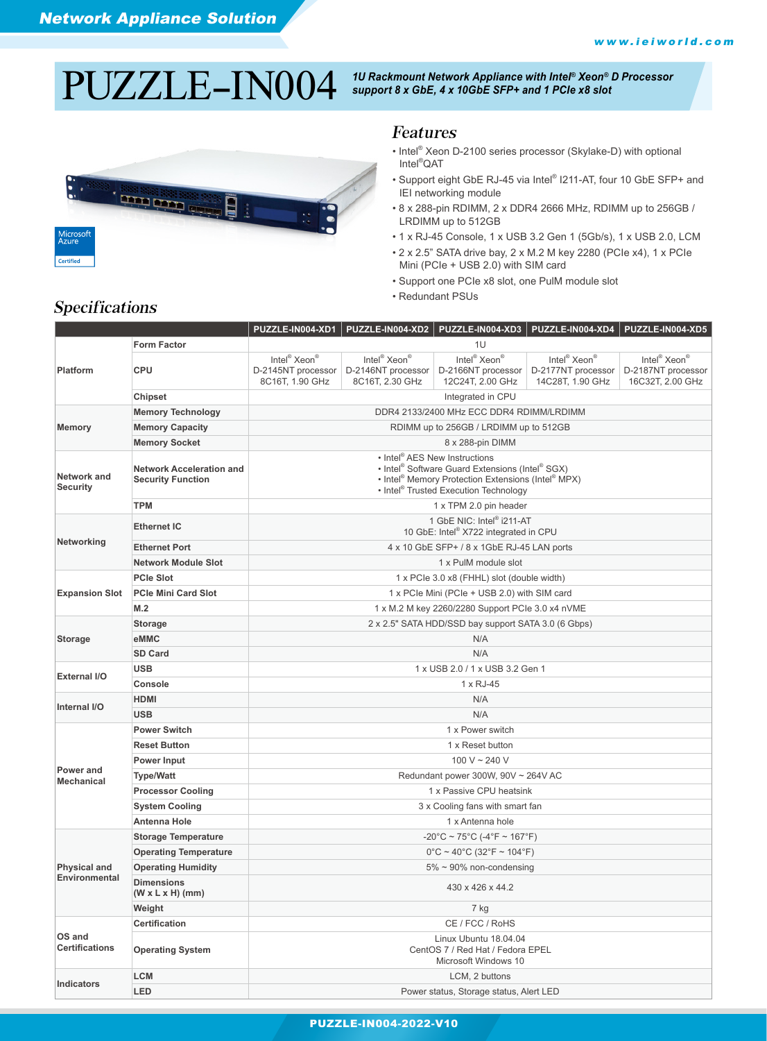# $\rm PULZLLE-IN004$  <sup>1U Rackmount Network Appliance with Intel® Xeon® D Processor<br>support 8 x GbE, 4 x 10GbE SFP+ and 1 PCIe x8 slot</sup>



#### Features

- Intel® Xeon D-2100 series processor (Skylake-D) with optional Intel® QAT
- Support eight GbE RJ-45 via Intel® I211-AT, four 10 GbE SFP+ and IEI networking module
- 8 x 288-pin RDIMM, 2 x DDR4 2666 MHz, RDIMM up to 256GB / LRDIMM up to 512GB
- 1 x RJ-45 Console, 1 x USB 3.2 Gen 1 (5Gb/s), 1 x USB 2.0, LCM
- 2 x 2.5" SATA drive bay, 2 x M.2 M key 2280 (PCIe x4), 1 x PCIe Mini (PCIe + USB 2.0) with SIM card
- Support one PCIe x8 slot, one PulM module slot
- Redundant PSUs

|                                             |                                                             |                                                                                                                                                                                                                                                         | PUZZLE-IN004-XD1 PUZZLE-IN004-XD2 PUZZLE-IN004-XD3 PUZZLE-IN004-XD4 PUZZLE-IN004-XD5 |                                                                                |                                                                                |                                                                                |  |  |  |  |  |
|---------------------------------------------|-------------------------------------------------------------|---------------------------------------------------------------------------------------------------------------------------------------------------------------------------------------------------------------------------------------------------------|--------------------------------------------------------------------------------------|--------------------------------------------------------------------------------|--------------------------------------------------------------------------------|--------------------------------------------------------------------------------|--|--|--|--|--|
|                                             | <b>Form Factor</b>                                          |                                                                                                                                                                                                                                                         |                                                                                      | 1U                                                                             |                                                                                |                                                                                |  |  |  |  |  |
| <b>Platform</b>                             | <b>CPU</b>                                                  | Intel <sup>®</sup> Xeon <sup>®</sup><br>D-2145NT processor<br>8C16T, 1.90 GHz                                                                                                                                                                           | Intel <sup>®</sup> Xeon <sup>®</sup><br>D-2146NT processor<br>8C16T, 2.30 GHz        | Intel <sup>®</sup> Xeon <sup>®</sup><br>D-2166NT processor<br>12C24T, 2.00 GHz | Intel <sup>®</sup> Xeon <sup>®</sup><br>D-2177NT processor<br>14C28T, 1.90 GHz | Intel <sup>®</sup> Xeon <sup>®</sup><br>D-2187NT processor<br>16C32T, 2.00 GHz |  |  |  |  |  |
|                                             | Chipset                                                     | Integrated in CPU                                                                                                                                                                                                                                       |                                                                                      |                                                                                |                                                                                |                                                                                |  |  |  |  |  |
|                                             | <b>Memory Technology</b>                                    | DDR4 2133/2400 MHz ECC DDR4 RDIMM/LRDIMM                                                                                                                                                                                                                |                                                                                      |                                                                                |                                                                                |                                                                                |  |  |  |  |  |
| Memory                                      | <b>Memory Capacity</b>                                      | RDIMM up to 256GB / LRDIMM up to 512GB                                                                                                                                                                                                                  |                                                                                      |                                                                                |                                                                                |                                                                                |  |  |  |  |  |
|                                             | <b>Memory Socket</b>                                        | 8 x 288-pin DIMM                                                                                                                                                                                                                                        |                                                                                      |                                                                                |                                                                                |                                                                                |  |  |  |  |  |
| Network and<br><b>Security</b>              | <b>Network Acceleration and</b><br><b>Security Function</b> | • Intel <sup>®</sup> AES New Instructions<br>• Intel <sup>®</sup> Software Guard Extensions (Intel <sup>®</sup> SGX)<br>• Intel <sup>®</sup> Memory Protection Extensions (Intel <sup>®</sup> MPX)<br>• Intel <sup>®</sup> Trusted Execution Technology |                                                                                      |                                                                                |                                                                                |                                                                                |  |  |  |  |  |
|                                             | <b>TPM</b>                                                  |                                                                                                                                                                                                                                                         | 1 x TPM 2.0 pin header                                                               |                                                                                |                                                                                |                                                                                |  |  |  |  |  |
|                                             | <b>Ethernet IC</b>                                          | 1 GbE NIC: Intel® i211-AT<br>10 GbE: Intel® X722 integrated in CPU                                                                                                                                                                                      |                                                                                      |                                                                                |                                                                                |                                                                                |  |  |  |  |  |
| Networking                                  | <b>Ethernet Port</b>                                        |                                                                                                                                                                                                                                                         |                                                                                      | 4 x 10 GbE SFP+ / 8 x 1GbE RJ-45 LAN ports                                     |                                                                                |                                                                                |  |  |  |  |  |
|                                             | <b>Network Module Slot</b>                                  |                                                                                                                                                                                                                                                         |                                                                                      | 1 x PulM module slot                                                           |                                                                                |                                                                                |  |  |  |  |  |
| <b>Expansion Slot</b>                       | <b>PCIe Slot</b>                                            |                                                                                                                                                                                                                                                         | 1 x PCIe 3.0 x8 (FHHL) slot (double width)                                           |                                                                                |                                                                                |                                                                                |  |  |  |  |  |
|                                             | <b>PCIe Mini Card Slot</b>                                  | 1 x PCIe Mini (PCIe + USB 2.0) with SIM card                                                                                                                                                                                                            |                                                                                      |                                                                                |                                                                                |                                                                                |  |  |  |  |  |
|                                             | M.2                                                         | 1 x M.2 M key 2260/2280 Support PCIe 3.0 x4 nVME                                                                                                                                                                                                        |                                                                                      |                                                                                |                                                                                |                                                                                |  |  |  |  |  |
| <b>Storage</b>                              | <b>Storage</b>                                              | 2 x 2.5" SATA HDD/SSD bay support SATA 3.0 (6 Gbps)                                                                                                                                                                                                     |                                                                                      |                                                                                |                                                                                |                                                                                |  |  |  |  |  |
|                                             | eMMC                                                        | N/A                                                                                                                                                                                                                                                     |                                                                                      |                                                                                |                                                                                |                                                                                |  |  |  |  |  |
|                                             | <b>SD Card</b>                                              | N/A                                                                                                                                                                                                                                                     |                                                                                      |                                                                                |                                                                                |                                                                                |  |  |  |  |  |
| External I/O                                | <b>USB</b>                                                  | 1 x USB 2.0 / 1 x USB 3.2 Gen 1                                                                                                                                                                                                                         |                                                                                      |                                                                                |                                                                                |                                                                                |  |  |  |  |  |
|                                             | <b>Console</b>                                              | 1 x RJ-45                                                                                                                                                                                                                                               |                                                                                      |                                                                                |                                                                                |                                                                                |  |  |  |  |  |
| Internal I/O                                | <b>HDMI</b>                                                 | N/A                                                                                                                                                                                                                                                     |                                                                                      |                                                                                |                                                                                |                                                                                |  |  |  |  |  |
|                                             | <b>USB</b>                                                  | N/A                                                                                                                                                                                                                                                     |                                                                                      |                                                                                |                                                                                |                                                                                |  |  |  |  |  |
| Power and<br><b>Mechanical</b>              | <b>Power Switch</b>                                         | 1 x Power switch                                                                                                                                                                                                                                        |                                                                                      |                                                                                |                                                                                |                                                                                |  |  |  |  |  |
|                                             | <b>Reset Button</b>                                         | 1 x Reset button                                                                                                                                                                                                                                        |                                                                                      |                                                                                |                                                                                |                                                                                |  |  |  |  |  |
|                                             | Power Input                                                 | 100 V ~ 240 V                                                                                                                                                                                                                                           |                                                                                      |                                                                                |                                                                                |                                                                                |  |  |  |  |  |
|                                             | <b>Type/Watt</b>                                            | Redundant power $300W$ , $90V \sim 264V$ AC                                                                                                                                                                                                             |                                                                                      |                                                                                |                                                                                |                                                                                |  |  |  |  |  |
|                                             | <b>Processor Cooling</b>                                    | 1 x Passive CPU heatsink                                                                                                                                                                                                                                |                                                                                      |                                                                                |                                                                                |                                                                                |  |  |  |  |  |
|                                             | <b>System Cooling</b>                                       | 3 x Cooling fans with smart fan                                                                                                                                                                                                                         |                                                                                      |                                                                                |                                                                                |                                                                                |  |  |  |  |  |
|                                             | <b>Antenna Hole</b>                                         | 1 x Antenna hole                                                                                                                                                                                                                                        |                                                                                      |                                                                                |                                                                                |                                                                                |  |  |  |  |  |
| <b>Physical and</b><br><b>Environmental</b> | <b>Storage Temperature</b>                                  | -20°C ~ 75°C (-4°F ~ 167°F)                                                                                                                                                                                                                             |                                                                                      |                                                                                |                                                                                |                                                                                |  |  |  |  |  |
|                                             | <b>Operating Temperature</b>                                | $0^{\circ}$ C ~ 40°C (32°F ~ 104°F)                                                                                                                                                                                                                     |                                                                                      |                                                                                |                                                                                |                                                                                |  |  |  |  |  |
|                                             | <b>Operating Humidity</b>                                   | $5\% \sim 90\%$ non-condensing                                                                                                                                                                                                                          |                                                                                      |                                                                                |                                                                                |                                                                                |  |  |  |  |  |
|                                             | <b>Dimensions</b><br>$(W \times L \times H)$ (mm)           | 430 x 426 x 44.2                                                                                                                                                                                                                                        |                                                                                      |                                                                                |                                                                                |                                                                                |  |  |  |  |  |
|                                             | Weight                                                      | 7 kg                                                                                                                                                                                                                                                    |                                                                                      |                                                                                |                                                                                |                                                                                |  |  |  |  |  |
|                                             | Certification                                               | CE / FCC / RoHS                                                                                                                                                                                                                                         |                                                                                      |                                                                                |                                                                                |                                                                                |  |  |  |  |  |
| OS and<br><b>Certifications</b>             | <b>Operating System</b>                                     | Linux Ubuntu 18.04.04<br>CentOS 7 / Red Hat / Fedora EPEL<br>Microsoft Windows 10                                                                                                                                                                       |                                                                                      |                                                                                |                                                                                |                                                                                |  |  |  |  |  |
| Indicators                                  | <b>LCM</b>                                                  | LCM, 2 buttons                                                                                                                                                                                                                                          |                                                                                      |                                                                                |                                                                                |                                                                                |  |  |  |  |  |
|                                             | LED                                                         | Power status, Storage status, Alert LED                                                                                                                                                                                                                 |                                                                                      |                                                                                |                                                                                |                                                                                |  |  |  |  |  |

### Specifications